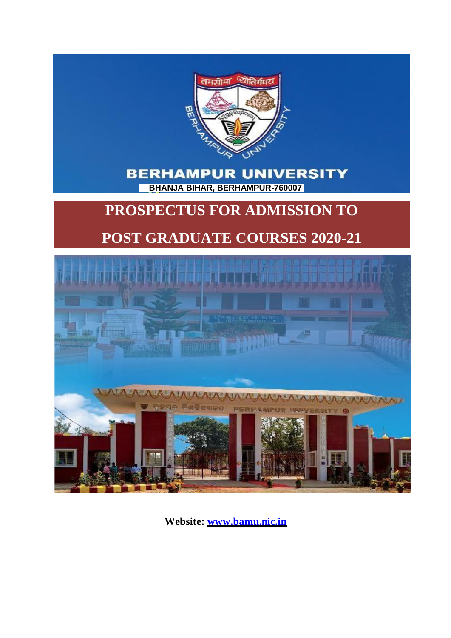

# **BERHAMPUR UNIVERSITY BHANJA BIHAR, BERHAMPUR-760007 (ODISHA)**

# **PROSPECTUS FOR ADMISSION TO**

# **POST GRADUATE COURSES 2020-21**



**Website: [www.bamu.nic.in](http://www.bamu.nic.in/)**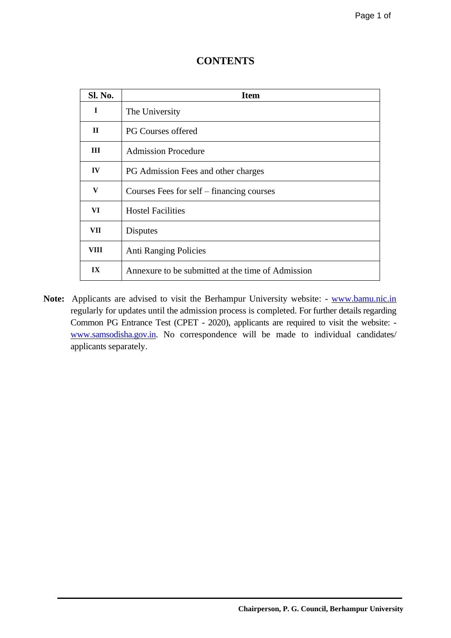| Sl. No.      | <b>Item</b>                                       |
|--------------|---------------------------------------------------|
| $\mathbf I$  | The University                                    |
| $\mathbf{H}$ | <b>PG Courses offered</b>                         |
| Ш            | <b>Admission Procedure</b>                        |
| $\bf{IV}$    | PG Admission Fees and other charges               |
| V            | Courses Fees for self – financing courses         |
| VI           | <b>Hostel Facilities</b>                          |
| VII          | <b>Disputes</b>                                   |
| VIII         | <b>Anti Ranging Policies</b>                      |
| IX           | Annexure to be submitted at the time of Admission |

# **CONTENTS**

Note: Applicants are advised to visit the Berhampur University website: - [www.bamu.nic.in](http://www.bamu.nic.in/) regularly for updates until the admission process is completed. For further details regarding Common PG Entrance Test (CPET - 2020), applicants are required to visit the website: [www.samsodisha.gov.in.](http://www.samsodisha.gov.in/) No correspondence will be made to individual candidates/ applicants separately.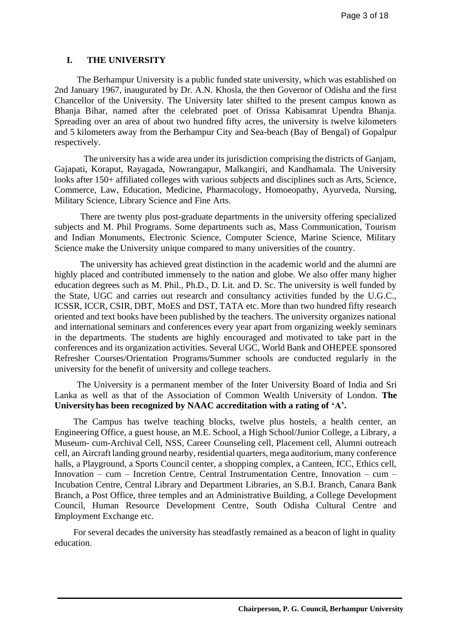### **I. THE UNIVERSITY**

The Berhampur University is a public funded state university, which was established on 2nd January 1967, inaugurated by Dr. A.N. Khosla, the then Governor of Odisha and the first Chancellor of the University. The University later shifted to the present campus known as Bhanja Bihar, named after the celebrated poet of Orissa Kabisamrat Upendra Bhanja. Spreading over an area of about two hundred fifty acres, the university is twelve kilometers and 5 kilometers away from the Berhampur City and Sea-beach (Bay of Bengal) of Gopalpur respectively.

The university has a wide area under its jurisdiction comprising the districts of Ganjam, Gajapati, Koraput, Rayagada, Nowrangapur, Malkangiri, and Kandhamala. The University looks after 150+ affiliated colleges with various subjects and disciplines such as Arts, Science, Commerce, Law, Education, Medicine, Pharmacology, Homoeopathy, Ayurveda, Nursing, Military Science, Library Science and Fine Arts.

There are twenty plus post-graduate departments in the university offering specialized subjects and M. Phil Programs. Some departments such as, Mass Communication, Tourism and Indian Monuments, Electronic Science, Computer Science, Marine Science, Military Science make the University unique compared to many universities of the country.

The university has achieved great distinction in the academic world and the alumni are highly placed and contributed immensely to the nation and globe. We also offer many higher education degrees such as M. Phil., Ph.D., D. Lit. and D. Sc. The university is well funded by the State, UGC and carries out research and consultancy activities funded by the U.G.C., ICSSR, ICCR, CSIR, DBT, MoES and DST, TATA etc. More than two hundred fifty research oriented and text books have been published by the teachers. The university organizes national and international seminars and conferences every year apart from organizing weekly seminars in the departments. The students are highly encouraged and motivated to take part in the conferences and its organization activities. Several UGC, World Bank and OHEPEE sponsored Refresher Courses/Orientation Programs/Summer schools are conducted regularly in the university for the benefit of university and college teachers.

The University is a permanent member of the Inter University Board of India and Sri Lanka as well as that of the Association of Common Wealth University of London. **The Universityhas been recognized by NAAC accreditation with a rating of 'A'.**

The Campus has twelve teaching blocks, twelve plus hostels, a health center, an Engineering Office, a guest house, an M.E. School, a High School/Junior College, a Library, a Museum- cum-Archival Cell, NSS, Career Counseling cell, Placement cell, Alumni outreach cell, an Aircraft landing ground nearby, residential quarters, mega auditorium, many conference halls, a Playground, a Sports Council center, a shopping complex, a Canteen, ICC, Ethics cell, Innovation – cum – Incretion Centre, Central Instrumentation Centre, Innovation – cum – Incubation Centre, Central Library and Department Libraries, an S.B.I. Branch, Canara Bank Branch, a Post Office, three temples and an Administrative Building, a College Development Council, Human Resource Development Centre, South Odisha Cultural Centre and Employment Exchange etc.

For several decades the university has steadfastly remained as a beacon of light in quality education.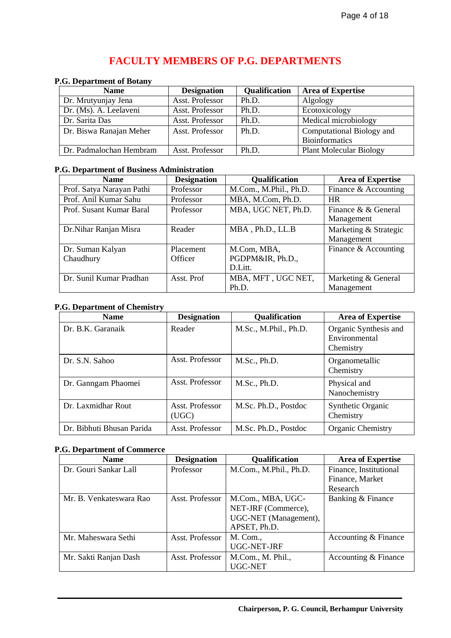# **FACULTY MEMBERS OF P.G. DEPARTMENTS**

#### **P.G. Department of Botany**

| $\cdots$                |                    |                      |                                |
|-------------------------|--------------------|----------------------|--------------------------------|
| <b>Name</b>             | <b>Designation</b> | <b>Qualification</b> | <b>Area of Expertise</b>       |
| Dr. Mrutyunjay Jena     | Asst. Professor    | Ph.D.                | Algology                       |
| Dr. (Ms). A. Leelaveni  | Asst. Professor    | Ph.D.                | Ecotoxicology                  |
| Dr. Sarita Das          | Asst. Professor    | Ph.D.                | Medical microbiology           |
| Dr. Biswa Ranajan Meher | Asst. Professor    | Ph.D.                | Computational Biology and      |
|                         |                    |                      | <b>Bioinformatics</b>          |
| Dr. Padmalochan Hembram | Asst. Professor    | Ph.D.                | <b>Plant Molecular Biology</b> |

# **P.G. Department of Business Administration**

| <b>Name</b>                   | <b>Designation</b>   | <b>Qualification</b>                       | <b>Area of Expertise</b>            |
|-------------------------------|----------------------|--------------------------------------------|-------------------------------------|
| Prof. Satya Narayan Pathi     | Professor            | M.Com., M.Phil., Ph.D.                     | Finance & Accounting                |
| Prof. Anil Kumar Sahu         | Professor            | MBA, M.Com, Ph.D.                          | <b>HR</b>                           |
| Prof. Susant Kumar Baral      | Professor            | MBA, UGC NET, Ph.D.                        | Finance & & General<br>Management   |
| Dr.Nihar Ranjan Misra         | Reader               | MBA, Ph.D., LL.B                           | Marketing & Strategic<br>Management |
| Dr. Suman Kalyan<br>Chaudhury | Placement<br>Officer | M.Com, MBA,<br>PGDPM&IR, Ph.D.,<br>D.Litt. | Finance & Accounting                |
| Dr. Sunil Kumar Pradhan       | Asst. Prof           | MBA, MFT, UGC NET,<br>Ph.D.                | Marketing & General<br>Management   |

#### **P.G. Department of Chemistry**

| <b>Name</b>               | <b>Designation</b>       | <b>Qualification</b>  | <b>Area of Expertise</b>                            |
|---------------------------|--------------------------|-----------------------|-----------------------------------------------------|
| Dr. B.K. Garanaik         | Reader                   | M.Sc., M.Phil., Ph.D. | Organic Synthesis and<br>Environmental<br>Chemistry |
| Dr. S.N. Sahoo            | Asst. Professor          | M.Sc., Ph.D.          | Organometallic<br>Chemistry                         |
| Dr. Ganngam Phaomei       | Asst. Professor          | M.Sc., Ph.D.          | Physical and<br>Nanochemistry                       |
| Dr. Laxmidhar Rout        | Asst. Professor<br>(UGC) | M.Sc. Ph.D., Postdoc  | Synthetic Organic<br>Chemistry                      |
| Dr. Bibhuti Bhusan Parida | Asst. Professor          | M.Sc. Ph.D., Postdoc  | Organic Chemistry                                   |

# **P.G. Department of Commerce**

| <b>Name</b>             | <b>Designation</b> | <b>Qualification</b>   | <b>Area of Expertise</b> |
|-------------------------|--------------------|------------------------|--------------------------|
| Dr. Gouri Sankar Lall   | Professor          | M.Com., M.Phil., Ph.D. | Finance, Institutional   |
|                         |                    |                        | Finance, Market          |
|                         |                    |                        | Research                 |
| Mr. B. Venkateswara Rao | Asst. Professor    | M.Com., MBA, UGC-      | Banking & Finance        |
|                         |                    | NET-JRF (Commerce),    |                          |
|                         |                    | UGC-NET (Management),  |                          |
|                         |                    | APSET, Ph.D.           |                          |
| Mr. Maheswara Sethi     | Asst. Professor    | M. Com.,               | Accounting & Finance     |
|                         |                    | UGC-NET-JRF            |                          |
| Mr. Sakti Ranjan Dash   | Asst. Professor    | M.Com., M. Phil.,      | Accounting & Finance     |
|                         |                    | UGC-NET                |                          |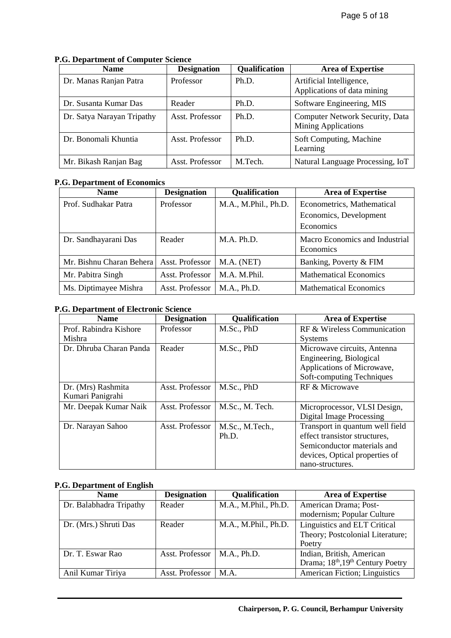| <b>Name</b>                | <b>Designation</b> | <b>Qualification</b> | <b>Area of Expertise</b>                                             |
|----------------------------|--------------------|----------------------|----------------------------------------------------------------------|
| Dr. Manas Ranjan Patra     | Professor          | Ph.D.                | Artificial Intelligence,<br>Applications of data mining              |
| Dr. Susanta Kumar Das      | Reader             | Ph.D.                | Software Engineering, MIS                                            |
| Dr. Satya Narayan Tripathy | Asst. Professor    | Ph.D.                | <b>Computer Network Security, Data</b><br><b>Mining Applications</b> |
| Dr. Bonomali Khuntia       | Asst. Professor    | Ph.D.                | Soft Computing, Machine<br>Learning                                  |
| Mr. Bikash Ranjan Bag      | Asst. Professor    | M.Tech.              | Natural Language Processing, IoT                                     |

#### **P.G. Department of Computer Science**

# **P.G. Department of Economics**

| <b>Name</b>              | <b>Designation</b> | <b>Qualification</b> | <b>Area of Expertise</b>                           |
|--------------------------|--------------------|----------------------|----------------------------------------------------|
| Prof. Sudhakar Patra     | Professor          | M.A., M.Phil., Ph.D. | Econometrics, Mathematical                         |
|                          |                    |                      | Economics, Development                             |
|                          |                    |                      | <b>Economics</b>                                   |
| Dr. Sandhayarani Das     | Reader             | M.A. Ph.D.           | Macro Economics and Industrial<br><b>Economics</b> |
| Mr. Bishnu Charan Behera | Asst. Professor    | M.A. (NET)           | Banking, Poverty & FIM                             |
| Mr. Pabitra Singh        | Asst. Professor    | M.A. M.Phil.         | <b>Mathematical Economics</b>                      |
| Ms. Diptimayee Mishra    | Asst. Professor    | M.A., Ph.D.          | <b>Mathematical Economics</b>                      |

#### **P.G. Department of Electronic Science**

| <b>Name</b>             | <b>Designation</b> | <b>Qualification</b> | <b>Area of Expertise</b>        |
|-------------------------|--------------------|----------------------|---------------------------------|
| Prof. Rabindra Kishore  | Professor          | M.Sc., PhD           | RF & Wireless Communication     |
| Mishra                  |                    |                      | <b>Systems</b>                  |
| Dr. Dhruba Charan Panda | Reader             | M.Sc., PhD           | Microwave circuits, Antenna     |
|                         |                    |                      | Engineering, Biological         |
|                         |                    |                      | Applications of Microwave,      |
|                         |                    |                      | Soft-computing Techniques       |
| Dr. (Mrs) Rashmita      | Asst. Professor    | M.Sc., PhD           | RF & Microwave                  |
| Kumari Panigrahi        |                    |                      |                                 |
| Mr. Deepak Kumar Naik   | Asst. Professor    | M.Sc., M. Tech.      | Microprocessor, VLSI Design,    |
|                         |                    |                      | <b>Digital Image Processing</b> |
| Dr. Narayan Sahoo       | Asst. Professor    | M.Sc., M.Tech.,      | Transport in quantum well field |
|                         |                    | Ph.D.                | effect transistor structures,   |
|                         |                    |                      | Semiconductor materials and     |
|                         |                    |                      | devices, Optical properties of  |
|                         |                    |                      | nano-structures.                |

#### **P.G. Department of English**

| <b>Name</b>             | <b>Designation</b> | <b>Qualification</b> | <b>Area of Expertise</b>                                                               |
|-------------------------|--------------------|----------------------|----------------------------------------------------------------------------------------|
| Dr. Balabhadra Tripathy | Reader             | M.A., M.Phil., Ph.D. | American Drama; Post-<br>modernism; Popular Culture                                    |
| Dr. (Mrs.) Shruti Das   | Reader             | M.A., M.Phil., Ph.D. | Linguistics and ELT Critical<br>Theory; Postcolonial Literature;<br>Poetry             |
| Dr. T. Eswar Rao        | Asst. Professor    | M.A., Ph.D.          | Indian, British, American<br>Drama; 18 <sup>th</sup> , 19 <sup>th</sup> Century Poetry |
| Anil Kumar Tiriya       | Asst. Professor    | M.A.                 | <b>American Fiction</b> ; Linguistics                                                  |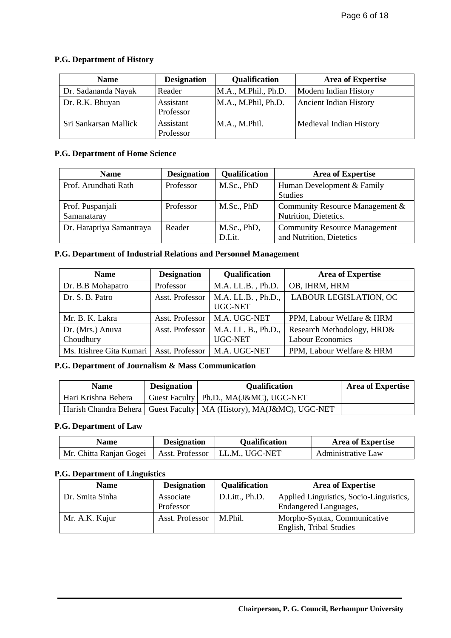#### **P.G. Department of History**

| <b>Name</b>           | <b>Designation</b>     | Qualification        | <b>Area of Expertise</b>     |
|-----------------------|------------------------|----------------------|------------------------------|
| Dr. Sadananda Nayak   | Reader                 | M.A., M.Phil., Ph.D. | <b>Modern Indian History</b> |
| Dr. R.K. Bhuyan       | Assistant<br>Professor | M.A., M.Phil, Ph.D.  | Ancient Indian History       |
| Sri Sankarsan Mallick | Assistant<br>Professor | M.A., M.Phil.        | Medieval Indian History      |

### **P.G. Department of Home Science**

| <b>Name</b>                     | <b>Designation</b> | <b>Qualification</b>  | <b>Area of Expertise</b>                                         |
|---------------------------------|--------------------|-----------------------|------------------------------------------------------------------|
| Prof. Arundhati Rath            | Professor          | M.Sc., PhD            | Human Development & Family<br><b>Studies</b>                     |
| Prof. Puspanjali<br>Samanataray | Professor          | M.Sc., PhD            | Community Resource Management &<br>Nutrition, Dietetics.         |
| Dr. Harapriya Samantraya        | Reader             | M.Sc., PhD,<br>D.Lit. | <b>Community Resource Management</b><br>and Nutrition, Dietetics |

# **P.G. Department of Industrial Relations and Personnel Management**

| <b>Name</b>                   | <b>Designation</b> | Qualification                         | <b>Area of Expertise</b>                              |
|-------------------------------|--------------------|---------------------------------------|-------------------------------------------------------|
| Dr. B.B Mohapatro             | Professor          | M.A. LL.B., Ph.D.                     | OB, IHRM, HRM                                         |
| Dr. S. B. Patro               | Asst. Professor    | $M.A. LL.B.$ , $Ph.D.,$<br>UGC-NET    | LABOUR LEGISLATION, OC                                |
| Mr. B. K. Lakra               | Asst. Professor    | M.A. UGC-NET                          | PPM, Labour Welfare & HRM                             |
| Dr. (Mrs.) Anuva<br>Choudhury | Asst. Professor    | M.A. LL. B., Ph.D.,<br><b>UGC-NET</b> | Research Methodology, HRD&<br><b>Labour Economics</b> |
| Ms. Itishree Gita Kumari      | Asst. Professor    | M.A. UGC-NET                          | PPM, Labour Welfare & HRM                             |

#### **P.G. Department of Journalism & Mass Communication**

| <b>Name</b>         | <b>Designation</b> | <b>Oualification</b>                                                    | <b>Area of Expertise</b> |
|---------------------|--------------------|-------------------------------------------------------------------------|--------------------------|
| Hari Krishna Behera |                    | Guest Faculty   Ph.D., MA(J&MC), UGC-NET                                |                          |
|                     |                    | Harish Chandra Behera   Guest Faculty   MA (History), MA(J&MC), UGC-NET |                          |

### **P.G. Department of Law**

| <b>Name</b>             | <b>Designation</b> | <b>Qualification</b> | <b>Area of Expertise</b> |
|-------------------------|--------------------|----------------------|--------------------------|
| Mr. Chitta Ranjan Gogei | Asst. Professor    | LL.M., UGC-NET       | Administrative Law       |

# **P.G. Department of Linguistics**

| <b>Name</b>     | <b>Designation</b>     | <b>Qualification</b> | <b>Area of Expertise</b>                                                |
|-----------------|------------------------|----------------------|-------------------------------------------------------------------------|
| Dr. Smita Sinha | Associate<br>Professor | D.Litt., Ph.D.       | Applied Linguistics, Socio-Linguistics,<br><b>Endangered Languages,</b> |
| Mr. A.K. Kujur  | Asst. Professor        | M.Phil.              | Morpho-Syntax, Communicative<br><b>English, Tribal Studies</b>          |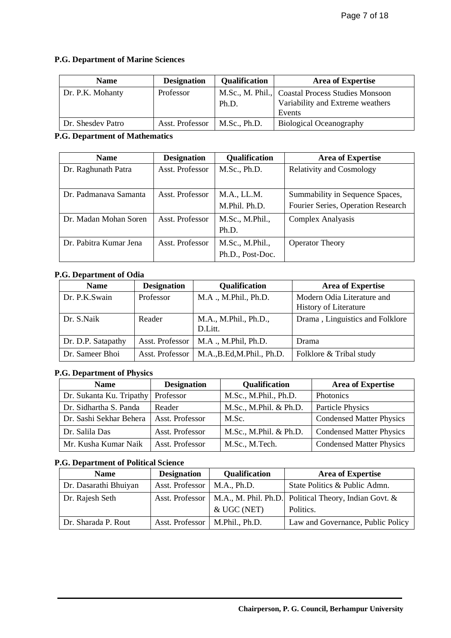# **P.G. Department of Marine Sciences**

| <b>Name</b>       | <b>Designation</b> | <b>Qualification</b> | <b>Area of Expertise</b>                                                                       |
|-------------------|--------------------|----------------------|------------------------------------------------------------------------------------------------|
| Dr. P.K. Mohanty  | Professor          | Ph.D.                | M.Sc., M. Phil., Coastal Process Studies Monsoon<br>Variability and Extreme weathers<br>Events |
| Dr. Shesdev Patro | Asst. Professor    | M.Sc., Ph.D.         | <b>Biological Oceanography</b>                                                                 |

#### **P.G. Department of Mathematics**

| <b>Name</b>            | <b>Designation</b> | <b>Qualification</b> | <b>Area of Expertise</b>           |
|------------------------|--------------------|----------------------|------------------------------------|
| Dr. Raghunath Patra    | Asst. Professor    | M.Sc., Ph.D.         | <b>Relativity and Cosmology</b>    |
|                        |                    |                      |                                    |
| Dr. Padmanaya Samanta  | Asst. Professor    | M.A., LL.M.          | Summability in Sequence Spaces,    |
|                        |                    | M.Phil. Ph.D.        | Fourier Series, Operation Research |
| Dr. Madan Mohan Soren  | Asst. Professor    | M.Sc., M.Phil.,      | Complex Analyasis                  |
|                        |                    | Ph.D.                |                                    |
| Dr. Pabitra Kumar Jena | Asst. Professor    | M.Sc., M.Phil.,      | <b>Operator Theory</b>             |
|                        |                    | Ph.D., Post-Doc.     |                                    |

# **P.G. Department of Odia**

| <b>Name</b>        | <b>Designation</b> | <b>Qualification</b>             | <b>Area of Expertise</b>                                   |
|--------------------|--------------------|----------------------------------|------------------------------------------------------------|
| Dr. P.K.Swain      | Professor          | M.A., M.Phil., Ph.D.             | Modern Odia Literature and<br><b>History of Literature</b> |
| Dr. S.Naik         | Reader             | M.A., M.Phil., Ph.D.,<br>D.Litt. | Drama, Linguistics and Folklore                            |
| Dr. D.P. Satapathy | Asst. Professor    | M.A., M.Phil, Ph.D.              | Drama                                                      |
| Dr. Sameer Bhoi    | Asst. Professor    | M.A., B.Ed, M.Phil., Ph.D.       | Folklore & Tribal study                                    |

#### **P.G. Department of Physics**

| <b>Name</b>              | <b>Designation</b> | Qualification          | <b>Area of Expertise</b>        |
|--------------------------|--------------------|------------------------|---------------------------------|
| Dr. Sukanta Ku. Tripathy | Professor          | M.Sc., M.Phil., Ph.D.  | Photonics                       |
| Dr. Sidhartha S. Panda   | Reader             | M.Sc., M.Phil. & Ph.D. | Particle Physics                |
| Dr. Sashi Sekhar Behera  | Asst. Professor    | M.Sc.                  | <b>Condensed Matter Physics</b> |
| Dr. Salila Das           | Asst. Professor    | M.Sc., M.Phil. & Ph.D. | <b>Condensed Matter Physics</b> |
| Mr. Kusha Kumar Naik     | Asst. Professor    | M.Sc., M.Tech.         | <b>Condensed Matter Physics</b> |

#### **P.G. Department of Political Science**

| <b>Name</b>           | <b>Designation</b>               | <b>Qualification</b>                                          | <b>Area of Expertise</b>          |
|-----------------------|----------------------------------|---------------------------------------------------------------|-----------------------------------|
| Dr. Dasarathi Bhuiyan | Asst. Professor   M.A., Ph.D.    |                                                               | State Politics & Public Admn.     |
| Dr. Rajesh Seth       | Asst. Professor                  | $\vert$ M.A., M. Phil. Ph.D. Political Theory, Indian Govt. & |                                   |
|                       |                                  | & UGC (NET)                                                   | Politics.                         |
| Dr. Sharada P. Rout   | Asst. Professor   M.Phil., Ph.D. |                                                               | Law and Governance, Public Policy |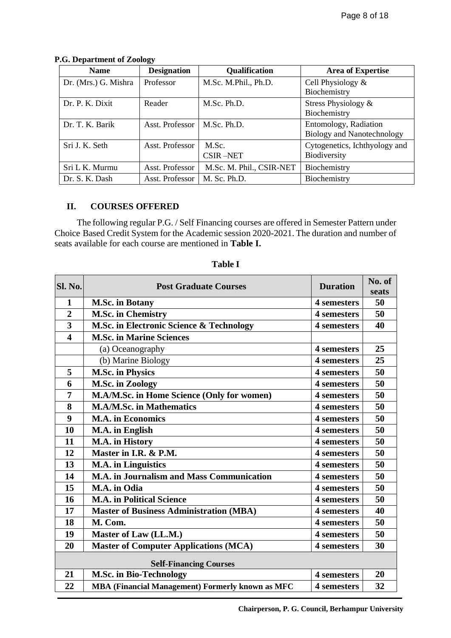| <b>Name</b>          | <b>Designation</b> | <b>Qualification</b>     | <b>Area of Expertise</b>                                   |
|----------------------|--------------------|--------------------------|------------------------------------------------------------|
| Dr. (Mrs.) G. Mishra | Professor          | M.Sc. M.Phil., Ph.D.     | Cell Physiology $&$<br>Biochemistry                        |
| Dr. P. K. Dixit      | Reader             | M.Sc. Ph.D.              | Stress Physiology $\&$<br>Biochemistry                     |
| Dr. T. K. Barik      | Asst. Professor    | M.Sc. Ph.D.              | Entomology, Radiation<br><b>Biology and Nanotechnology</b> |
| Sri J. K. Seth       | Asst. Professor    | M.Sc.<br><b>CSIR-NET</b> | Cytogenetics, Ichthyology and<br>Biodiversity              |
| Sri L K. Murmu       | Asst. Professor    | M.Sc. M. Phil., CSIR-NET | Biochemistry                                               |
| Dr. S. K. Dash       | Asst. Professor    | M. Sc. Ph.D.             | Biochemistry                                               |

#### **P.G. Department of Zoology**

# **II. COURSES OFFERED**

The following regular P.G. / Self Financing courses are offered in Semester Pattern under Choice Based Credit System for the Academic session 2020-2021. The duration and number of seats available for each course are mentioned in **Table I.**

| <b>Sl. No.</b>                | <b>Post Graduate Courses</b>                     | <b>Duration</b> | No. of<br>seats |  |
|-------------------------------|--------------------------------------------------|-----------------|-----------------|--|
| $\mathbf{1}$                  | <b>M.Sc. in Botany</b>                           | 4 semesters     | 50              |  |
| $\overline{2}$                | <b>M.Sc. in Chemistry</b>                        | 4 semesters     | 50              |  |
| 3                             | M.Sc. in Electronic Science & Technology         | 4 semesters     | 40              |  |
| $\overline{\mathbf{4}}$       | <b>M.Sc. in Marine Sciences</b>                  |                 |                 |  |
|                               | (a) Oceanography                                 | 4 semesters     | 25              |  |
|                               | (b) Marine Biology                               | 4 semesters     | 25              |  |
| 5                             | <b>M.Sc. in Physics</b>                          | 4 semesters     | 50              |  |
| 6                             | <b>M.Sc. in Zoology</b>                          | 4 semesters     | 50              |  |
| $\overline{7}$                | M.A/M.Sc. in Home Science (Only for women)       | 4 semesters     | 50              |  |
| 8                             | <b>M.A/M.Sc. in Mathematics</b>                  | 4 semesters     | 50              |  |
| 9                             | <b>M.A.</b> in Economics                         | 4 semesters     | 50              |  |
| 10                            | M.A. in English                                  | 4 semesters     | 50              |  |
| 11                            | M.A. in History                                  | 4 semesters     | 50              |  |
| 12                            | Master in I.R. & P.M.                            | 4 semesters     | 50              |  |
| 13                            | <b>M.A.</b> in Linguistics                       | 4 semesters     | 50              |  |
| 14                            | <b>M.A. in Journalism and Mass Communication</b> | 4 semesters     | 50              |  |
| 15                            | M.A. in Odia                                     | 4 semesters     | 50              |  |
| 16                            | <b>M.A. in Political Science</b>                 | 4 semesters     | 50              |  |
| 17                            | <b>Master of Business Administration (MBA)</b>   | 4 semesters     | 40              |  |
| 18                            | M. Com.                                          | 4 semesters     | 50              |  |
| 19                            | Master of Law (LL.M.)                            | 4 semesters     | 50              |  |
| 20                            | <b>Master of Computer Applications (MCA)</b>     | 4 semesters     | 30              |  |
| <b>Self-Financing Courses</b> |                                                  |                 |                 |  |
| 21                            | <b>M.Sc. in Bio-Technology</b>                   | 4 semesters     | 20              |  |
| 22                            | MBA (Financial Management) Formerly known as MFC | 4 semesters     | 32              |  |

**Table I**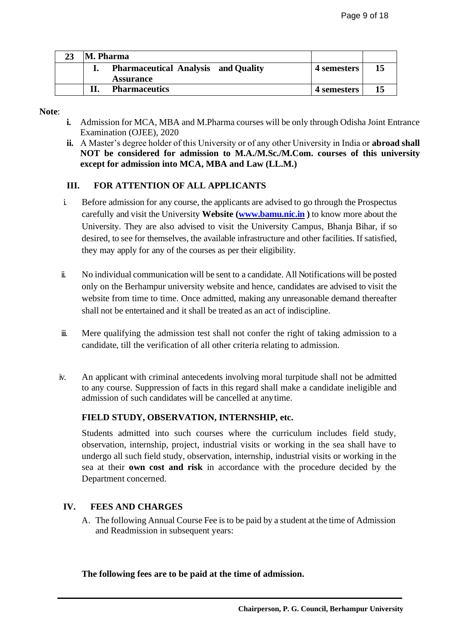| M. Pharma |                                                                |             |  |
|-----------|----------------------------------------------------------------|-------------|--|
|           | <b>Pharmaceutical Analysis and Quality</b><br><b>Assurance</b> | 4 semesters |  |
|           | <b>Pharmaceutics</b>                                           | 4 semesters |  |

#### **Note**:

- **i.** Admission for MCA, MBA and M.Pharma courses will be only through Odisha Joint Entrance Examination (OJEE), 2020
- **ii.** A Master's degree holder of this University or of any other University in India or **abroad shall NOT be considered for admission to M.A./M.Sc./M.Com. courses of this university except for admission into MCA, MBA and Law (LL.M.)**

# **III. FOR ATTENTION OF ALL APPLICANTS**

- i. Before admission for any course, the applicants are advised to go through the Prospectus carefully and visit the University **Website [\(www.bamu.nic.in](http://www.bamu.nic.in/) )** to know more about the University. They are also advised to visit the University Campus, Bhanja Bihar, if so desired, to see for themselves, the available infrastructure and other facilities. If satisfied, they may apply for any of the courses as per their eligibility.
- ii. No individual communication will be sent to a candidate. All Notifications will be posted only on the Berhampur university website and hence, candidates are advised to visit the website from time to time. Once admitted, making any unreasonable demand thereafter shall not be entertained and it shall be treated as an act of indiscipline.
- iii. Mere qualifying the admission test shall not confer the right of taking admission to a candidate, till the verification of all other criteria relating to admission.
- iv. An applicant with criminal antecedents involving moral turpitude shall not be admitted to any course. Suppression of facts in this regard shall make a candidate ineligible and admission of such candidates will be cancelled at anytime.

# **FIELD STUDY, OBSERVATION, INTERNSHIP, etc.**

Students admitted into such courses where the curriculum includes field study, observation, internship, project, industrial visits or working in the sea shall have to undergo all such field study, observation, internship, industrial visits or working in the sea at their **own cost and risk** in accordance with the procedure decided by the Department concerned.

#### **IV. FEES AND CHARGES**

A. The following Annual Course Fee isto be paid by a student at the time of Admission and Readmission in subsequent years:

**The following fees are to be paid at the time of admission.**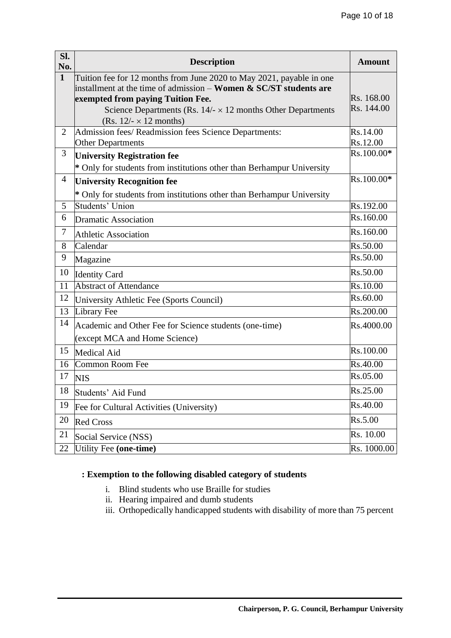| Sl.<br>No.     | <b>Description</b>                                                                                      | <b>Amount</b> |
|----------------|---------------------------------------------------------------------------------------------------------|---------------|
| $\mathbf{1}$   | Tuition fee for 12 months from June 2020 to May 2021, payable in one                                    |               |
|                | installment at the time of admission – <b>Women &amp; SC/ST students are</b>                            | Rs. 168.00    |
|                | exempted from paying Tuition Fee.<br>Science Departments (Rs. $14/- \times 12$ months Other Departments | Rs. 144.00    |
|                | $(Rs. 12/-\times 12$ months)                                                                            |               |
| $\overline{2}$ | Admission fees/ Readmission fees Science Departments:                                                   | Rs.14.00      |
|                | <b>Other Departments</b>                                                                                | Rs.12.00      |
| 3              | <b>University Registration fee</b>                                                                      | Rs.100.00*    |
|                | * Only for students from institutions other than Berhampur University                                   |               |
| 4              | <b>University Recognition fee</b>                                                                       | Rs.100.00*    |
|                | * Only for students from institutions other than Berhampur University                                   |               |
| 5              | Students' Union                                                                                         | Rs.192.00     |
| 6              | <b>Dramatic Association</b>                                                                             | Rs.160.00     |
| $\tau$         | <b>Athletic Association</b>                                                                             | Rs.160.00     |
| 8              | Calendar                                                                                                | Rs.50.00      |
| 9              | Magazine                                                                                                | Rs.50.00      |
| 10             | <b>Identity Card</b>                                                                                    | Rs.50.00      |
| 11             | <b>Abstract of Attendance</b>                                                                           | Rs.10.00      |
| 12             | University Athletic Fee (Sports Council)                                                                | Rs.60.00      |
| 13             | Library Fee                                                                                             | Rs.200.00     |
| 14             | Academic and Other Fee for Science students (one-time)                                                  | Rs.4000.00    |
|                | (except MCA and Home Science)                                                                           |               |
| 15             | <b>Medical Aid</b>                                                                                      | Rs.100.00     |
| 16             | Common Room Fee                                                                                         | Rs.40.00      |
| 17             | <b>NIS</b>                                                                                              | Rs.05.00      |
| 18             | Students' Aid Fund                                                                                      | Rs.25.00      |
| 19             | Fee for Cultural Activities (University)                                                                | Rs.40.00      |
| 20             | <b>Red Cross</b>                                                                                        | Rs.5.00       |
| 21             | Social Service (NSS)                                                                                    | Rs. 10.00     |
| 22             | Utility Fee (one-time)                                                                                  | Rs. 1000.00   |

# **: Exemption to the following disabled category of students**

- i. Blind students who use Braille for studies
- ii. Hearing impaired and dumb students
- iii. Orthopedically handicapped students with disability of more than 75 percent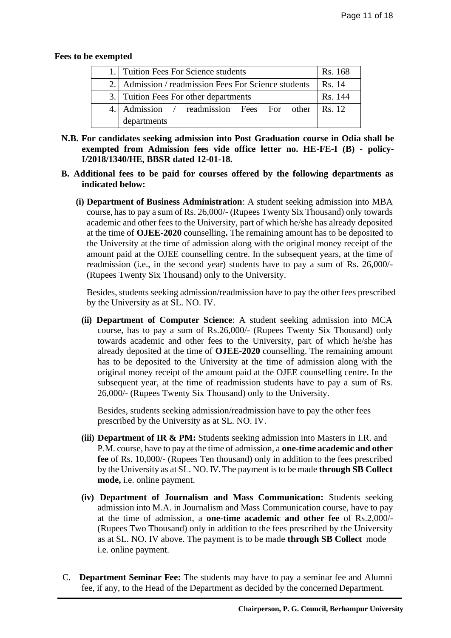#### **Fees to be exempted**

| 1. Tuition Fees For Science students                 | Rs. 168 |
|------------------------------------------------------|---------|
| 2. Admission / readmission Fees For Science students | Rs. 14  |
| 3. Tuition Fees For other departments                | Rs. 144 |
| 4. Admission / readmission Fees For other Rs. 12     |         |
| departments                                          |         |

- **N.B. For candidates seeking admission into Post Graduation course in Odia shall be exempted from Admission fees vide office letter no. HE-FE-I (B) - policy-I/2018/1340/HE, BBSR dated 12-01-18.**
- **B. Additional fees to be paid for courses offered by the following departments as indicated below:**
	- **(i) Department of Business Administration**: A student seeking admission into MBA course, has to pay a sum of Rs. 26,000/- (Rupees Twenty Six Thousand) only towards academic and other fees to the University, part of which he/she has already deposited at the time of **OJEE-2020** counselling**.** The remaining amount has to be deposited to the University at the time of admission along with the original money receipt of the amount paid at the OJEE counselling centre. In the subsequent years, at the time of readmission (i.e., in the second year) students have to pay a sum of Rs. 26,000/- (Rupees Twenty Six Thousand) only to the University.

Besides, students seeking admission/readmission have to pay the other fees prescribed by the University as at SL. NO. IV.

**(ii) Department of Computer Science**: A student seeking admission into MCA course, has to pay a sum of Rs.26,000/- (Rupees Twenty Six Thousand) only towards academic and other fees to the University, part of which he/she has already deposited at the time of **OJEE-2020** counselling. The remaining amount has to be deposited to the University at the time of admission along with the original money receipt of the amount paid at the OJEE counselling centre. In the subsequent year, at the time of readmission students have to pay a sum of Rs. 26,000/- (Rupees Twenty Six Thousand) only to the University.

Besides, students seeking admission/readmission have to pay the other fees prescribed by the University as at SL. NO. IV.

- **(iii) Department of IR & PM:** Students seeking admission into Masters in I.R. and P.M. course, have to pay at the time of admission, a **one-time academic and other fee** of Rs. 10,000/- (Rupees Ten thousand) only in addition to the fees prescribed by the University as at SL. NO. IV. The payment isto be made **through SB Collect mode,** i.e. online payment.
- **(iv) Department of Journalism and Mass Communication:** Students seeking admission into M.A. in Journalism and Mass Communication course, have to pay at the time of admission, a **one-time academic and other fee** of Rs.2,000/- (Rupees Two Thousand) only in addition to the fees prescribed by the University as at SL. NO. IV above. The payment is to be made **through SB Collect** mode i.e. online payment.
- C. **Department Seminar Fee:** The students may have to pay a seminar fee and Alumni fee, if any, to the Head of the Department as decided by the concerned Department.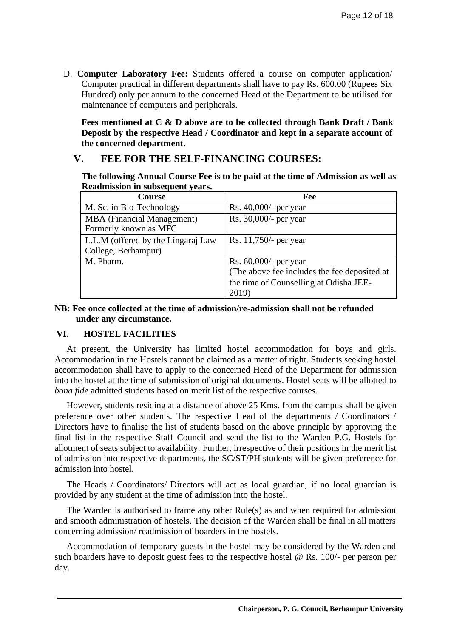D. **Computer Laboratory Fee:** Students offered a course on computer application/ Computer practical in different departments shall have to pay Rs. 600.00 (Rupees Six Hundred) only per annum to the concerned Head of the Department to be utilised for maintenance of computers and peripherals.

**Fees mentioned at C & D above are to be collected through Bank Draft / Bank Deposit by the respective Head / Coordinator and kept in a separate account of the concerned department.**

# **V. FEE FOR THE SELF-FINANCING COURSES:**

**The following Annual Course Fee is to be paid at the time of Admission as well as Readmission in subsequent years.**

| Course                             | Fee                                          |  |  |
|------------------------------------|----------------------------------------------|--|--|
| M. Sc. in Bio-Technology           | Rs. 40,000/- per year                        |  |  |
| <b>MBA</b> (Financial Management)  | Rs. 30,000/- per year                        |  |  |
| Formerly known as MFC              |                                              |  |  |
| L.L.M (offered by the Lingaraj Law | Rs. 11,750/- per year                        |  |  |
| College, Berhampur)                |                                              |  |  |
| M. Pharm.                          | Rs. 60,000/- per year                        |  |  |
|                                    | (The above fee includes the fee deposited at |  |  |
|                                    | the time of Counselling at Odisha JEE-       |  |  |
|                                    | 2019)                                        |  |  |

### **NB: Fee once collected at the time of admission/re-admission shall not be refunded under any circumstance.**

# **VI. HOSTEL FACILITIES**

At present, the University has limited hostel accommodation for boys and girls. Accommodation in the Hostels cannot be claimed as a matter of right. Students seeking hostel accommodation shall have to apply to the concerned Head of the Department for admission into the hostel at the time of submission of original documents. Hostel seats will be allotted to *bona fide* admitted students based on merit list of the respective courses.

However, students residing at a distance of above 25 Kms. from the campus shall be given preference over other students. The respective Head of the departments / Coordinators / Directors have to finalise the list of students based on the above principle by approving the final list in the respective Staff Council and send the list to the Warden P.G. Hostels for allotment of seats subject to availability. Further, irrespective of their positions in the merit list of admission into respective departments, the SC/ST/PH students will be given preference for admission into hostel.

The Heads / Coordinators/ Directors will act as local guardian, if no local guardian is provided by any student at the time of admission into the hostel.

The Warden is authorised to frame any other Rule(s) as and when required for admission and smooth administration of hostels. The decision of the Warden shall be final in all matters concerning admission/ readmission of boarders in the hostels.

Accommodation of temporary guests in the hostel may be considered by the Warden and such boarders have to deposit guest fees to the respective hostel @ Rs. 100/- per person per day.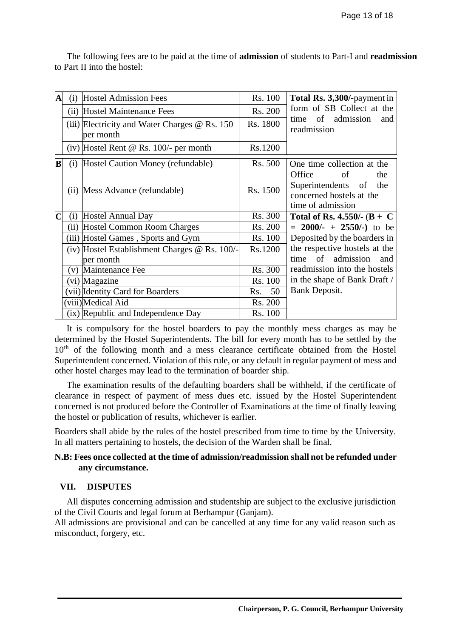| $\overline{\mathbf{A}}$ | (i) | <b>Hostel Admission Fees</b>                                      | Rs. 100   | Total Rs. 3,300/-payment in                                                                       |
|-------------------------|-----|-------------------------------------------------------------------|-----------|---------------------------------------------------------------------------------------------------|
|                         |     | (ii) Hostel Maintenance Fees                                      | Rs. 200   | form of SB Collect at the                                                                         |
|                         |     | (iii) Electricity and Water Charges $\omega$ Rs. 150<br>per month | Rs. 1800  | of admission<br>and<br>time<br>readmission                                                        |
|                         |     | $(iv)$ Hostel Rent @ Rs. 100/- per month                          | Rs.1200   |                                                                                                   |
| $\overline{\mathbf{B}}$ | (i) | Hostel Caution Money (refundable)                                 | Rs. 500   | One time collection at the                                                                        |
|                         |     | (ii) Mess Advance (refundable)                                    | Rs. 1500  | Office<br>оf<br>the<br>Superintendents of<br>the<br>concerned hostels at the<br>time of admission |
| $\overline{\mathbf{C}}$ | (i) | Hostel Annual Day                                                 | Rs. 300   | Total of Rs. 4.550/- $(B + C)$                                                                    |
|                         |     | (ii) Hostel Common Room Charges                                   | Rs. 200   | $= 2000/- + 2550/-$ to be                                                                         |
|                         |     | (iii) Hostel Games, Sports and Gym                                | Rs. 100   | Deposited by the boarders in                                                                      |
|                         |     | (iv) Hostel Establishment Charges $\omega$ Rs. 100/-              | Rs.1200   | the respective hostels at the                                                                     |
|                         |     | per month                                                         |           | of admission<br>time<br>and                                                                       |
|                         |     | (v) Maintenance Fee                                               | Rs. 300   | readmission into the hostels                                                                      |
|                         |     | (vi) Magazine                                                     | Rs. 100   | in the shape of Bank Draft /                                                                      |
|                         |     | (vii) Identity Card for Boarders                                  | 50<br>Rs. | <b>Bank Deposit.</b>                                                                              |
|                         |     | (viii)Medical Aid                                                 | Rs. 200   |                                                                                                   |
|                         |     | (ix) Republic and Independence Day                                | Rs. 100   |                                                                                                   |

The following fees are to be paid at the time of **admission** of students to Part-I and **readmission** to Part II into the hostel:

It is compulsory for the hostel boarders to pay the monthly mess charges as may be determined by the Hostel Superintendents. The bill for every month has to be settled by the 10<sup>th</sup> of the following month and a mess clearance certificate obtained from the Hostel Superintendent concerned. Violation of this rule, or any default in regular payment of mess and other hostel charges may lead to the termination of boarder ship.

The examination results of the defaulting boarders shall be withheld, if the certificate of clearance in respect of payment of mess dues etc. issued by the Hostel Superintendent concerned is not produced before the Controller of Examinations at the time of finally leaving the hostel or publication of results, whichever is earlier.

Boarders shall abide by the rules of the hostel prescribed from time to time by the University. In all matters pertaining to hostels, the decision of the Warden shall be final.

### **N.B: Fees once collected at the time of admission/readmission shall not be refunded under any circumstance.**

#### **VII. DISPUTES**

All disputes concerning admission and studentship are subject to the exclusive jurisdiction of the Civil Courts and legal forum at Berhampur (Ganjam).

All admissions are provisional and can be cancelled at any time for any valid reason such as misconduct, forgery, etc.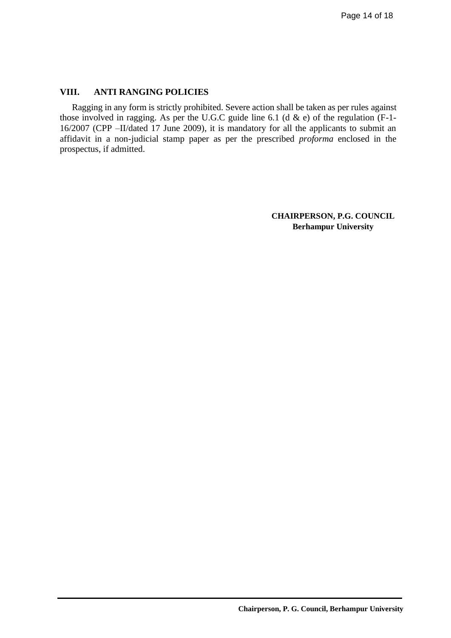# **VIII. ANTI RANGING POLICIES**

Ragging in any form is strictly prohibited. Severe action shall be taken as per rules against those involved in ragging. As per the U.G.C guide line 6.1 (d  $\&$  e) of the regulation (F-1-16/2007 (CPP –II/dated 17 June 2009), it is mandatory for all the applicants to submit an affidavit in a non-judicial stamp paper as per the prescribed *proforma* enclosed in the prospectus, if admitted.

> **CHAIRPERSON, P.G. COUNCIL Berhampur University**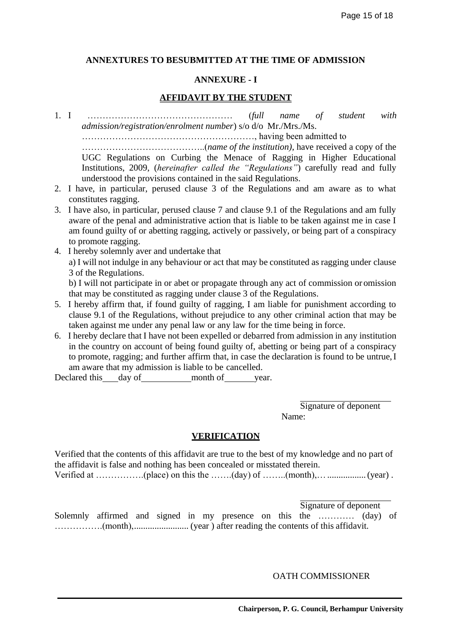### **ANNEXTURES TO BESUBMITTED AT THE TIME OF ADMISSION**

#### **ANNEXURE - I**

#### **AFFIDAVIT BY THE STUDENT**

1. I ………………………………………… (*full name of student with admission/registration/enrolment number*) s/o d/o Mr./Mrs./Ms.

…………………………………………………, having been admitted to

…………………………………..(*name of the institution)*, have received a copy of the UGC Regulations on Curbing the Menace of Ragging in Higher Educational Institutions, 2009, (*hereinafter called the "Regulations"*) carefully read and fully understood the provisions contained in the said Regulations.

- 2. I have, in particular, perused clause 3 of the Regulations and am aware as to what constitutes ragging.
- 3. I have also, in particular, perused clause 7 and clause 9.1 of the Regulations and am fully aware of the penal and administrative action that is liable to be taken against me in case I am found guilty of or abetting ragging, actively or passively, or being part of a conspiracy to promote ragging.
- 4. I hereby solemnly aver and undertake that a) I will not indulge in any behaviour or act that may be constituted as ragging under clause 3 of the Regulations. b) I will not participate in or abet or propagate through any act of commission or omission that may be constituted as ragging under clause 3 of the Regulations.
- 5. I hereby affirm that, if found guilty of ragging, I am liable for punishment according to clause 9.1 of the Regulations, without prejudice to any other criminal action that may be taken against me under any penal law or any law for the time being in force.
- 6. I hereby declare that I have not been expelled or debarred from admission in any institution in the country on account of being found guilty of, abetting or being part of a conspiracy to promote, ragging; and further affirm that, in case the declaration is found to be untrue,I am aware that my admission is liable to be cancelled.

Declared this day of month of year.

Signature of deponent Name:

#### **VERIFICATION**

Verified that the contents of this affidavit are true to the best of my knowledge and no part of the affidavit is false and nothing has been concealed or misstated therein. Verified at …………….(place) on this the …….(day) of ……..(month),….................(year) .

Signature of deponent

Solemnly affirmed and signed in my presence on this the ………… (day) of …………….(month),........................ (year ) after reading the contents of this affidavit.

OATH COMMISSIONER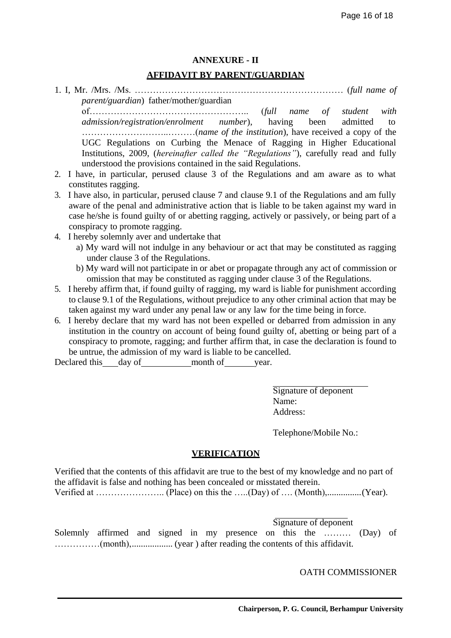# **ANNEXURE - II**

#### **AFFIDAVIT BY PARENT/GUARDIAN**

1. I, Mr. /Mrs. /Ms. …………………………………………………………… (*full name of parent/guardian*) father/mother/guardian

of…………………………………………….. (*full name of student with admission/registration/enrolment number*), having been admitted to ………………………..………(*name of the institution*), have received a copy of the UGC Regulations on Curbing the Menace of Ragging in Higher Educational Institutions, 2009, (*hereinafter called the "Regulations"*), carefully read and fully understood the provisions contained in the said Regulations.

- 2. I have, in particular, perused clause 3 of the Regulations and am aware as to what constitutes ragging.
- 3. I have also, in particular, perused clause 7 and clause 9.1 of the Regulations and am fully aware of the penal and administrative action that is liable to be taken against my ward in case he/she is found guilty of or abetting ragging, actively or passively, or being part of a conspiracy to promote ragging.
- 4. I hereby solemnly aver and undertake that
	- a) My ward will not indulge in any behaviour or act that may be constituted as ragging under clause 3 of the Regulations.
	- b) My ward will not participate in or abet or propagate through any act of commission or omission that may be constituted as ragging under clause 3 of the Regulations.
- 5. I hereby affirm that, if found guilty of ragging, my ward is liable for punishment according to clause 9.1 of the Regulations, without prejudice to any other criminal action that may be taken against my ward under any penal law or any law for the time being in force.
- 6. I hereby declare that my ward has not been expelled or debarred from admission in any institution in the country on account of being found guilty of, abetting or being part of a conspiracy to promote, ragging; and further affirm that, in case the declaration is found to be untrue, the admission of my ward is liable to be cancelled.

Declared this day of month of year.

Signature of deponent Name: Address:

Telephone/Mobile No.:

#### **VERIFICATION**

Verified that the contents of this affidavit are true to the best of my knowledge and no part of the affidavit is false and nothing has been concealed or misstated therein.

Verified at ………………….. (Place) on this the …..(Day) of …. (Month),...............(Year).

Signature of deponent

Solemnly affirmed and signed in my presence on this the ……… (Day) of ……………(month),.................. (year ) after reading the contents of this affidavit.

OATH COMMISSIONER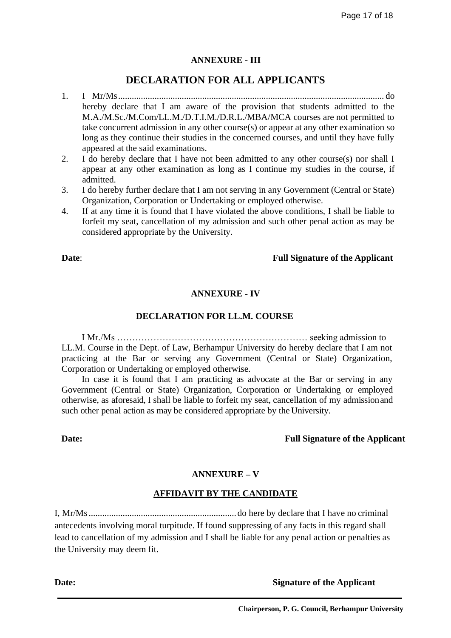# **ANNEXURE - III**

# **DECLARATION FOR ALL APPLICANTS**

- 1. I Mr/Ms..................................................................................................................... do hereby declare that I am aware of the provision that students admitted to the M.A./M.Sc./M.Com/LL.M./D.T.I.M./D.R.L./MBA/MCA courses are not permitted to take concurrent admission in any other course(s) or appear at any other examination so long as they continue their studies in the concerned courses, and until they have fully appeared at the said examinations.
- 2. I do hereby declare that I have not been admitted to any other course(s) nor shall I appear at any other examination as long as I continue my studies in the course, if admitted.
- 3. I do hereby further declare that I am not serving in any Government (Central or State) Organization, Corporation or Undertaking or employed otherwise.
- 4. If at any time it is found that I have violated the above conditions, I shall be liable to forfeit my seat, cancellation of my admission and such other penal action as may be considered appropriate by the University.

#### **Date**: **Full Signature of the Applicant**

### **ANNEXURE - IV**

#### **DECLARATION FOR LL.M. COURSE**

I Mr./Ms ……………………………………………………… seeking admission to LL.M. Course in the Dept. of Law, Berhampur University do hereby declare that I am not practicing at the Bar or serving any Government (Central or State) Organization, Corporation or Undertaking or employed otherwise.

In case it is found that I am practicing as advocate at the Bar or serving in any Government (Central or State) Organization, Corporation or Undertaking or employed otherwise, as aforesaid, I shall be liable to forfeit my seat, cancellation of my admissionand such other penal action as may be considered appropriate by the University.

#### **Date: Full Signature of the Applicant**

# **ANNEXURE – V**

#### **AFFIDAVIT BY THE CANDIDATE**

I, Mr/Ms.................................................................do here by declare that I have no criminal antecedents involving moral turpitude. If found suppressing of any facts in this regard shall lead to cancellation of my admission and I shall be liable for any penal action or penalties as the University may deem fit.

**Date: Signature of the Applicant**